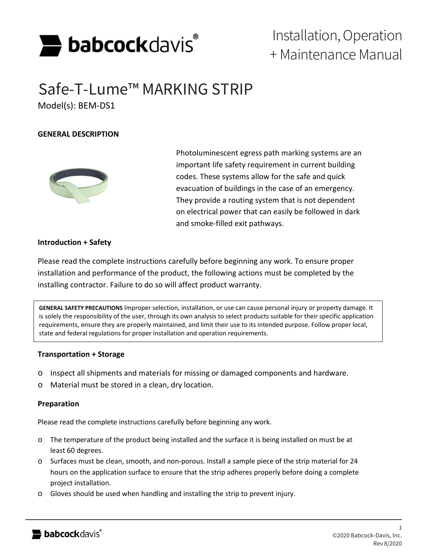

# Installation, Operation + Maintenance Manual

# Safe-T-Lume™ MARKING STRIP

Model(s): BEM-DS1

## **GENERAL DESCRIPTION**



Photoluminescent egress path marking systems are an important life safety requirement in current building codes. These systems allow for the safe and quick evacuation of buildings in the case of an emergency. They provide a routing system that is not dependent on electrical power that can easily be followed in dark and smoke-filled exit pathways.

## **Introduction + Safety**

Please read the complete instructions carefully before beginning any work. To ensure proper installation and performance of the product, the following actions must be completed by the installing contractor. Failure to do so will affect product warranty.

**GENERAL SAFETY PRECAUTIONS** Improper selection, installation, or use can cause personal injury or property damage. It is solely the responsibility of the user, through its own analysis to select products suitable for their specific application requirements, ensure they are properly maintained, and limit their use to its intended purpose. Follow proper local, state and federal regulations for proper installation and operation requirements.

#### **Transportation + Storage**

- o Inspect all shipments and materials for missing or damaged components and hardware.
- o Material must be stored in a clean, dry location.

#### **Preparation**

Please read the complete instructions carefully before beginning any work.

- o The temperature of the product being installed and the surface it is being installed on must be at least 60 degrees.
- o Surfaces must be clean, smooth, and non-porous. Install a sample piece of the strip material for 24 hours on the application surface to ensure that the strip adheres properly before doing a complete project installation.
- o Gloves should be used when handling and installing the strip to prevent injury.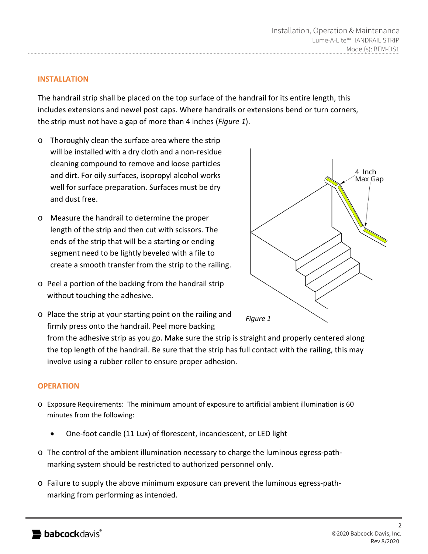### **INSTALLATION**

The handrail strip shall be placed on the top surface of the handrail for its entire length, this includes extensions and newel post caps. Where handrails or extensions bend or turn corners, the strip must not have a gap of more than 4 inches (*Figure 1*).

- o Thoroughly clean the surface area where the strip will be installed with a dry cloth and a non-residue cleaning compound to remove and loose particles and dirt. For oily surfaces, isopropyl alcohol works well for surface preparation. Surfaces must be dry and dust free.
- o Measure the handrail to determine the proper length of the strip and then cut with scissors. The ends of the strip that will be a starting or ending segment need to be lightly beveled with a file to create a smooth transfer from the strip to the railing.
- o Peel a portion of the backing from the handrail strip without touching the adhesive.



o Place the strip at your starting point on the railing and firmly press onto the handrail. Peel more backing

from the adhesive strip as you go. Make sure the strip is straight and properly centered along the top length of the handrail. Be sure that the strip has full contact with the railing, this may involve using a rubber roller to ensure proper adhesion.

#### **OPERATION**

- o Exposure Requirements: The minimum amount of exposure to artificial ambient illumination is 60 minutes from the following:
	- One-foot candle (11 Lux) of florescent, incandescent, or LED light
- o The control of the ambient illumination necessary to charge the luminous egress-pathmarking system should be restricted to authorized personnel only.
- o Failure to supply the above minimum exposure can prevent the luminous egress-pathmarking from performing as intended.